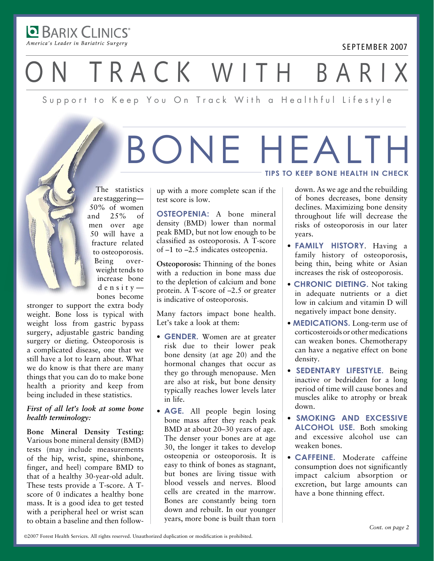**DE BARIX CLINICS** America's Leader in Bariatric Surgery

#### September 2007

TRACK WITH BARI

Support to Keep You On Track With a Healthful Lifestyle

## Bone Health **Tips to keep bone health in check**

The statistics are staggering— 50% of women and 25% of men over age 50 will have a fracture related to osteoporosis. Being overweight tends to increase bone  $d$  e n s i t y  $$ bones become

stronger to support the extra body weight. Bone loss is typical with weight loss from gastric bypass surgery, adjustable gastric banding surgery or dieting. Osteoporosis is a complicated disease, one that we still have a lot to learn about. What we do know is that there are many things that you can do to make bone health a priority and keep from being included in these statistics.

#### *First of all let's look at some bone health terminology:*

**Bone Mineral Density Testing:** Various bone mineral density (BMD) tests (may include measurements of the hip, wrist, spine, shinbone, finger, and heel) compare BMD to that of a healthy 30-year-old adult. These tests provide a T-score. A Tscore of 0 indicates a healthy bone mass. It is a good idea to get tested with a peripheral heel or wrist scan to obtain a baseline and then followup with a more complete scan if the test score is low.

**Osteopenia:** A bone mineral density (BMD) lower than normal peak BMD, but not low enough to be classified as osteoporosis. A T-score of –1 to –2.5 indicates osteopenia.

**Osteoporosis:** Thinning of the bones with a reduction in bone mass due to the depletion of calcium and bone protein. A T-score of –2.5 or greater is indicative of osteoporosis.

Many factors impact bone health. Let's take a look at them:

- **GENDER.** Women are at greater risk due to their lower peak bone density (at age 20) and the hormonal changes that occur as they go through menopause. Men are also at risk, but bone density typically reaches lower levels later in life.
- **Age.** All people begin losing bone mass after they reach peak BMD at about 20–30 years of age. The denser your bones are at age 30, the longer it takes to develop osteopenia or osteoporosis. It is easy to think of bones as stagnant, but bones are living tissue with blood vessels and nerves. Blood cells are created in the marrow. Bones are constantly being torn down and rebuilt. In our younger years, more bone is built than torn

down. As we age and the rebuilding of bones decreases, bone density declines. Maximizing bone density throughout life will decrease the risks of osteoporosis in our later years.

- **Family History**. Having a family history of osteoporosis, being thin, being white or Asian increases the risk of osteoporosis.
- **Chronic Dieting.** Not taking in adequate nutrients or a diet low in calcium and vitamin D will negatively impact bone density.
- **Medications.** Long-term use of corticosteroids or other medications can weaken bones. Chemotherapy can have a negative effect on bone density.
- **Sedentary Lifestyle.** Being inactive or bedridden for a long period of time will cause bones and muscles alike to atrophy or break down.
- **Smoking and Excessive Alcohol Use.** Both smoking and excessive alcohol use can weaken bones.
- **Caffeine.** Moderate caffeine consumption does not significantly impact calcium absorption or excretion, but large amounts can have a bone thinning effect.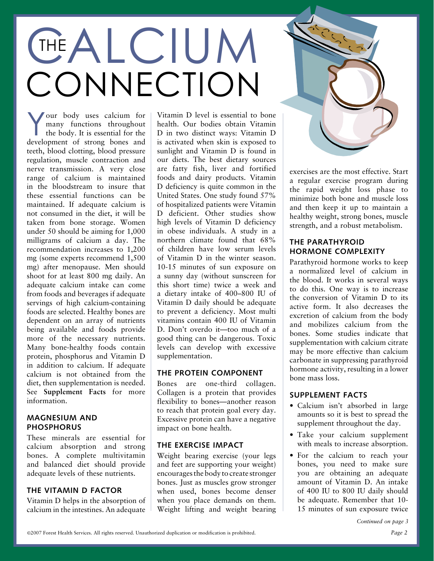## **CHALCIUM** CONNECTION The

Your body uses calcium for<br>many functions throughout<br>the body. It is essential for the<br>dayslopment of strong bones and many functions throughout the body. It is essential for the development of strong bones and teeth, blood clotting, blood pressure regulation, muscle contraction and nerve transmission. A very close range of calcium is maintained in the bloodstream to insure that these essential functions can be maintained. If adequate calcium is not consumed in the diet, it will be taken from bone storage. Women under 50 should be aiming for 1,000 milligrams of calcium a day. The recommendation increases to 1,200 mg (some experts recommend 1,500 mg) after menopause. Men should shoot for at least 800 mg daily. An adequate calcium intake can come from foods and beverages if adequate servings of high calcium-containing foods are selected. Healthy bones are dependent on an array of nutrients being available and foods provide more of the necessary nutrients. Many bone-healthy foods contain protein, phosphorus and Vitamin D in addition to calcium. If adequate calcium is not obtained from the diet, then supplementation is needed. See **Supplement Facts** for more information.

#### **Magnesium and Phosphorus**

These minerals are essential for calcium absorption and strong bones. A complete multivitamin and balanced diet should provide adequate levels of these nutrients.

#### **The Vitamin D Factor**

Vitamin D helps in the absorption of calcium in the intestines. An adequate

Vitamin D level is essential to bone health. Our bodies obtain Vitamin D in two distinct ways: Vitamin D is activated when skin is exposed to sunlight and Vitamin D is found in our diets. The best dietary sources are fatty fish, liver and fortified foods and dairy products. Vitamin D deficiency is quite common in the United States. One study found 57% of hospitalized patients were Vitamin D deficient. Other studies show high levels of Vitamin D deficiency in obese individuals. A study in a northern climate found that 68% of children have low serum levels of Vitamin D in the winter season. 10-15 minutes of sun exposure on a sunny day (without sunscreen for this short time) twice a week and a dietary intake of 400–800 IU of Vitamin D daily should be adequate to prevent a deficiency. Most multi vitamins contain 400 IU of Vitamin D. Don't overdo it—too much of a good thing can be dangerous. Toxic levels can develop with excessive supplementation.

#### **The Protein Component**

Bones are one-third collagen. Collagen is a protein that provides flexibility to bones—another reason to reach that protein goal every day. Excessive protein can have a negative impact on bone health.

### **The Exercise Impact**

Weight bearing exercise (your legs and feet are supporting your weight) encourages the body to create stronger bones. Just as muscles grow stronger when used, bones become denser when you place demands on them. Weight lifting and weight bearing



exercises are the most effective. Start a regular exercise program during the rapid weight loss phase to minimize both bone and muscle loss and then keep it up to maintain a healthy weight, strong bones, muscle strength, and a robust metabolism.

#### **The Parathyroid Hormone Complexity**

Parathyroid hormone works to keep a normalized level of calcium in the blood. It works in several ways to do this. One way is to increase the conversion of Vitamin D to its active form. It also decreases the excretion of calcium from the body and mobilizes calcium from the bones. Some studies indicate that supplementation with calcium citrate may be more effective than calcium carbonate in suppressing parathyroid hormone activity, resulting in a lower bone mass loss.

### **Supplement Facts**

- Calcium isn't absorbed in large amounts so it is best to spread the supplement throughout the day.
- Take your calcium supplement with meals to increase absorption.
- For the calcium to reach your bones, you need to make sure you are obtaining an adequate amount of Vitamin D. An intake of 400 IU to 800 IU daily should be adequate. Remember that 10- 15 minutes of sun exposure twice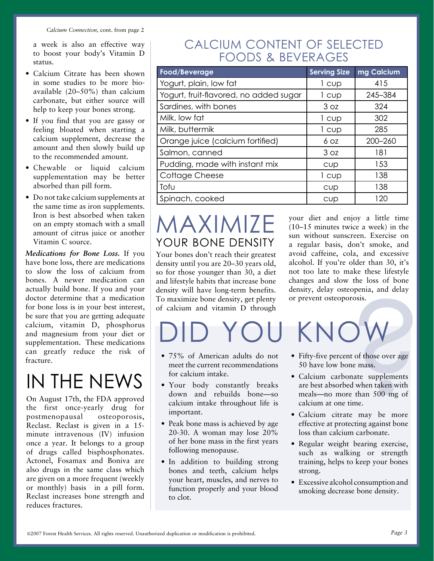a week is also an effective way to boost your body's Vitamin D status.

- Calcium Citrate has been shown in some studies to be more bioavailable (20–50%) than calcium carbonate, but either source will help to keep your bones strong.
- If you find that you are gassy or feeling bloated when starting a calcium supplement, decrease the amount and then slowly build up to the recommended amount.
- Chewable or liquid calcium supplementation may be better absorbed than pill form.
- Do not take calcium supplements at the same time as iron supplements. Iron is best absorbed when taken on an empty stomach with a small amount of citrus juice or another Vitamin C source.

*Medications for Bone Loss.* If you have bone loss, there are medications to slow the loss of calcium from bones. A newer medication can actually build bone. If you and your doctor determine that a medication for bone loss is in your best interest, be sure that you are getting adequate calcium, vitamin D, phosphorus and magnesium from your diet or supplementation. These medications can greatly reduce the risk of fracture.

## In The News

On August 17th, the FDA approved the first once-yearly drug for postmenopausal osteoporosis, Reclast. Reclast is given in a 15 minute intravenous (IV) infusion once a year. It belongs to a group of drugs called bisphosphonates. Actonel, Fosamax and Boniva are also drugs in the same class which are given on a more frequent (weekly or monthly) basis in a pill form. Reclast increases bone strength and reduces fractures.

## Calcium Content of Selected Foods & Beverages

| Food/Beverage                          | <b>Serving Size</b> | mg Calcium  |
|----------------------------------------|---------------------|-------------|
| Yogurt, plain, low fat                 | 1 cup               | 415         |
| Yogurt, fruit-flavored, no added sugar | 1 cup               | 245-384     |
| Sardines, with bones                   | 3 oz                | 324         |
| Milk, low fat                          | 1 cup               | 302         |
| Milk, buttermik                        | 1 cup               | 285         |
| Orange juice (calcium fortified)       | 6 OZ                | $200 - 260$ |
| Salmon, canned                         | 3 oz                | 181         |
| Pudding, made with instant mix         | cup                 | 153         |
| Cottage Cheese                         | 1 cup               | 138         |
| Tofu                                   | CUD                 | 138         |
| Spinach, cooked                        | CUD                 | 120         |

## Maximize YOUR BONE DENSITY

Your bones don't reach their greatest density until you are 20–30 years old, so for those younger than 30, a diet and lifestyle habits that increase bone density will have long-term benefits. To maximize bone density, get plenty of calcium and vitamin D through

your diet and enjoy a little time (10–15 minutes twice a week) in the sun without sunscreen. Exercise on a regular basis, don't smoke, and avoid caffeine, cola, and excessive alcohol. If you're older than 30, it's not too late to make these lifestyle changes and slow the loss of bone density, delay osteopenia, and delay or prevent osteoporosis.

# KNOW ehts. density, delay osteopenia, and delay<br>
lenty<br>
or prevent osteoporosis.<br>
ough<br> **e**<br>
o not<br>
• Fifty-five percent of those over age<br>
50 have low bone mass.<br>
• Calcium carbonate supplements<br>
reaks<br>
are best absorbed when

- 75% of American adults do not meet the current recommendations for calcium intake.
- Your body constantly breaks down and rebuilds bon calcium intake throughout life is important.
- Peak bone mass is achieved by age 20-30. A woman may lose 20% of her bone mass in the first years following menopause.
- In addition to building strong bones and teeth, calcium helps your heart, muscles, and nerves to function properly and your blood to clot.
- Fifty-five percent of those over age 50 have low bone mass.
- Calcium carbonate supplements are best absorbed when taken with meals—no more than 500 mg of calcium at one time.
- Calcium citrate may be more effective at protecting against bone loss than calcium carbonate.
- Regular weight bearing exercise, such as walking or strength training, helps to keep your bones strong.
- Excessive alcohol consumption and smoking decrease bone density.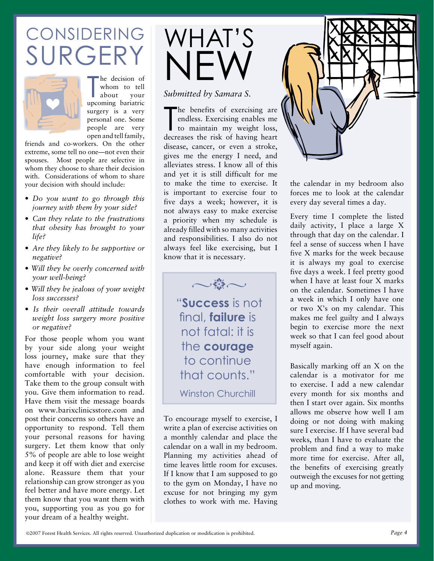## **CONSIDERING** SURGERY



The decision of<br>
whom to tell<br>
about your<br>
upcoming bariatric he decision of whom to tell about your surgery is a very personal one. Some people are very open and tell family,

friends and co-workers. On the other extreme, some tell no one—not even their spouses. Most people are selective in whom they choose to share their decision with. Considerations of whom to share your decision with should include:

- *• Do you want to go through this journey with them by your side?*
- *• Can they relate to the frustrations that obesity has brought to your life?*
- *• Are they likely to be supportive or negative?*
- *Will they be overly concerned with your well-being?*
- *Will they be jealous of your weight loss successes?*
- *Is their overall attitude towards weight loss surgery more positive or negative?*

For those people whom you want by your side along your weight loss journey, make sure that they have enough information to feel comfortable with your decision. Take them to the group consult with you. Give them information to read. Have them visit the message boards on www.barixclinicsstore.com and post their concerns so others have an opportunity to respond. Tell them your personal reasons for having surgery. Let them know that only 5% of people are able to lose weight and keep it off with diet and exercise alone. Reassure them that your relationship can grow stronger as you feel better and have more energy. Let them know that you want them with you, supporting you as you go for your dream of a healthy weight.

## What's NEW

*Submitted by Samara S.*

The benefits of exercising are<br>endless. Exercising enables me<br>to maintain my weight loss,<br>decreases the risk of having heart he benefits of exercising are endless. Exercising enables me to maintain my weight loss, disease, cancer, or even a stroke, gives me the energy I need, and alleviates stress. I know all of this and yet it is still difficult for me to make the time to exercise. It is important to exercise four to five days a week; however, it is not always easy to make exercise a priority when my schedule is already filled with so many activities and responsibilities. I also do not always feel like exercising, but I know that it is necessary.

> "**Success** is not final, **failure** is not fatal: it is the **courage** to continue that counts." Winston Churchill

 $\sim$ 

To encourage myself to exercise, I write a plan of exercise activities on a monthly calendar and place the calendar on a wall in my bedroom. Planning my activities ahead of time leaves little room for excuses. If I know that I am supposed to go to the gym on Monday, I have no excuse for not bringing my gym clothes to work with me. Having



the calendar in my bedroom also forces me to look at the calendar every day several times a day.

Every time I complete the listed daily activity, I place a large X through that day on the calendar. I feel a sense of success when I have five X marks for the week because it is always my goal to exercise five days a week. I feel pretty good when I have at least four X marks on the calendar. Sometimes I have a week in which I only have one or two X's on my calendar. This makes me feel guilty and I always begin to exercise more the next week so that I can feel good about myself again.

Basically marking off an X on the calendar is a motivator for me to exercise. I add a new calendar every month for six months and then I start over again. Six months allows me observe how well I am doing or not doing with making sure I exercise. If I have several bad weeks, than I have to evaluate the problem and find a way to make more time for exercise. After all, the benefits of exercising greatly outweigh the excuses for not getting up and moving.